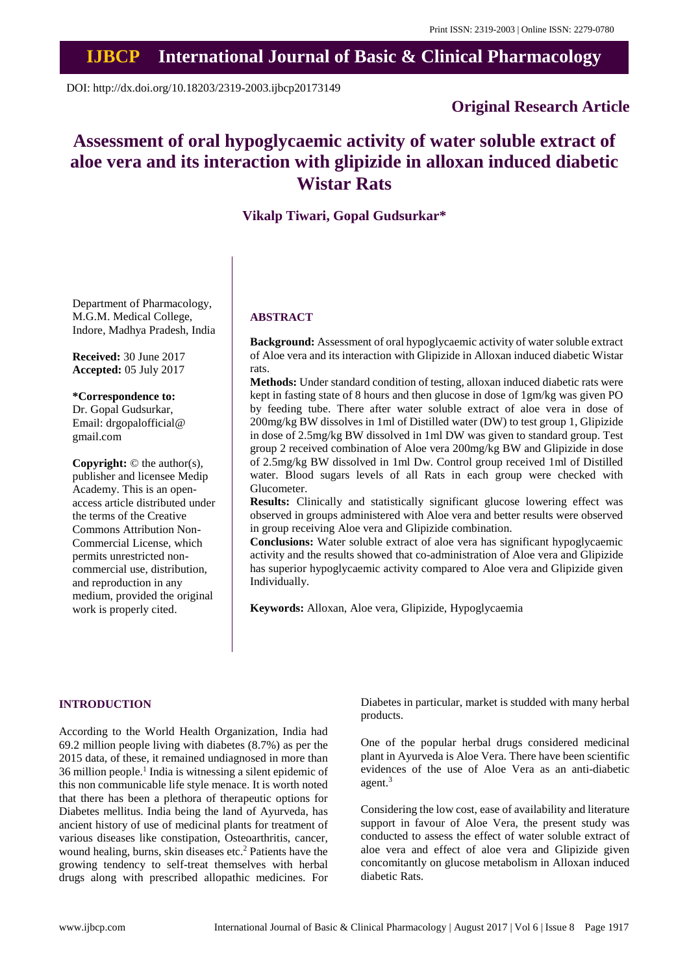## **IJBCP International Journal of Basic & Clinical Pharmacology**

DOI: http://dx.doi.org/10.18203/2319-2003.ijbcp20173149

## **Original Research Article**

# **Assessment of oral hypoglycaemic activity of water soluble extract of aloe vera and its interaction with glipizide in alloxan induced diabetic Wistar Rats**

### **Vikalp Tiwari, Gopal Gudsurkar\***

Department of Pharmacology, M.G.M. Medical College, Indore, Madhya Pradesh, India

**Received:** 30 June 2017 **Accepted:** 05 July 2017

**\*Correspondence to:** Dr. Gopal Gudsurkar, Email: drgopalofficial@ gmail.com

**Copyright:** © the author(s), publisher and licensee Medip Academy. This is an openaccess article distributed under the terms of the Creative Commons Attribution Non-Commercial License, which permits unrestricted noncommercial use, distribution, and reproduction in any medium, provided the original work is properly cited.

#### **ABSTRACT**

**Background:** Assessment of oral hypoglycaemic activity of water soluble extract of Aloe vera and its interaction with Glipizide in Alloxan induced diabetic Wistar rats.

**Methods:** Under standard condition of testing, alloxan induced diabetic rats were kept in fasting state of 8 hours and then glucose in dose of 1gm/kg was given PO by feeding tube. There after water soluble extract of aloe vera in dose of 200mg/kg BW dissolves in 1ml of Distilled water (DW) to test group 1, Glipizide in dose of 2.5mg/kg BW dissolved in 1ml DW was given to standard group. Test group 2 received combination of Aloe vera 200mg/kg BW and Glipizide in dose of 2.5mg/kg BW dissolved in 1ml Dw. Control group received 1ml of Distilled water. Blood sugars levels of all Rats in each group were checked with Glucometer.

**Results:** Clinically and statistically significant glucose lowering effect was observed in groups administered with Aloe vera and better results were observed in group receiving Aloe vera and Glipizide combination.

**Conclusions:** Water soluble extract of aloe vera has significant hypoglycaemic activity and the results showed that co-administration of Aloe vera and Glipizide has superior hypoglycaemic activity compared to Aloe vera and Glipizide given Individually.

**Keywords:** Alloxan, Aloe vera, Glipizide, Hypoglycaemia

#### **INTRODUCTION**

According to the World Health Organization, India had 69.2 million people living with diabetes (8.7%) as per the 2015 data, of these, it remained undiagnosed in more than 36 million people.<sup>1</sup> India is witnessing a silent epidemic of this non communicable life style menace. It is worth noted that there has been a plethora of therapeutic options for Diabetes mellitus. India being the land of Ayurveda, has ancient history of use of medicinal plants for treatment of various diseases like constipation, Osteoarthritis, cancer, wound healing, burns, skin diseases etc. <sup>2</sup> Patients have the growing tendency to self-treat themselves with herbal drugs along with prescribed allopathic medicines. For Diabetes in particular, market is studded with many herbal products.

One of the popular herbal drugs considered medicinal plant in Ayurveda is Aloe Vera. There have been scientific evidences of the use of Aloe Vera as an anti-diabetic agent. 3

Considering the low cost, ease of availability and literature support in favour of Aloe Vera, the present study was conducted to assess the effect of water soluble extract of aloe vera and effect of aloe vera and Glipizide given concomitantly on glucose metabolism in Alloxan induced diabetic Rats.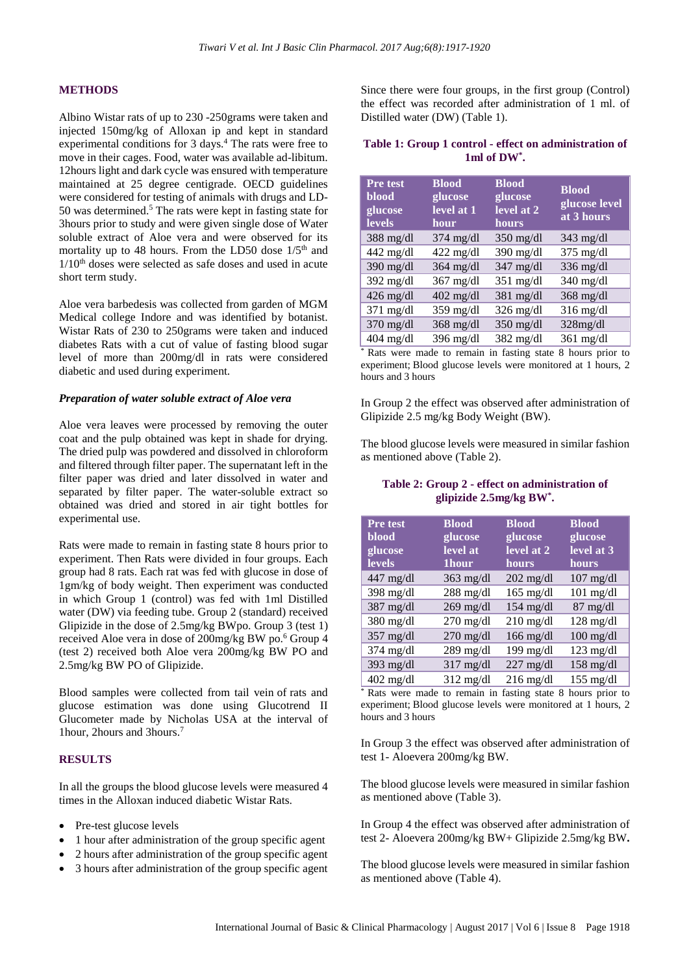#### **METHODS**

Albino Wistar rats of up to 230 -250grams were taken and injected 150mg/kg of Alloxan ip and kept in standard experimental conditions for 3 days. <sup>4</sup> The rats were free to move in their cages. Food, water was available ad-libitum. 12hours light and dark cycle was ensured with temperature maintained at 25 degree centigrade. OECD guidelines were considered for testing of animals with drugs and LD-50 was determined.<sup>5</sup> The rats were kept in fasting state for 3hours prior to study and were given single dose of Water soluble extract of Aloe vera and were observed for its mortality up to 48 hours. From the LD50 dose  $1/5<sup>th</sup>$  and  $1/10<sup>th</sup>$  doses were selected as safe doses and used in acute short term study.

Aloe vera barbedesis was collected from garden of MGM Medical college Indore and was identified by botanist. Wistar Rats of 230 to 250grams were taken and induced diabetes Rats with a cut of value of fasting blood sugar level of more than 200mg/dl in rats were considered diabetic and used during experiment.

#### *Preparation of water soluble extract of Aloe vera*

Aloe vera leaves were processed by removing the outer coat and the pulp obtained was kept in shade for drying. The dried pulp was powdered and dissolved in chloroform and filtered through filter paper. The supernatant left in the filter paper was dried and later dissolved in water and separated by filter paper. The water-soluble extract so obtained was dried and stored in air tight bottles for experimental use.

Rats were made to remain in fasting state 8 hours prior to experiment. Then Rats were divided in four groups. Each group had 8 rats. Each rat was fed with glucose in dose of 1gm/kg of body weight. Then experiment was conducted in which Group 1 (control) was fed with 1ml Distilled water (DW) via feeding tube. Group 2 (standard) received Glipizide in the dose of 2.5mg/kg BWpo. Group 3 (test 1) received Aloe vera in dose of 200mg/kg BW po. <sup>6</sup> Group 4 (test 2) received both Aloe vera 200mg/kg BW PO and 2.5mg/kg BW PO of Glipizide.

Blood samples were collected from tail vein of rats and glucose estimation was done using Glucotrend II Glucometer made by Nicholas USA at the interval of 1hour, 2hours and 3hours.<sup>7</sup>

#### **RESULTS**

In all the groups the blood glucose levels were measured 4 times in the Alloxan induced diabetic Wistar Rats.

- Pre-test glucose levels
- 1 hour after administration of the group specific agent
- 2 hours after administration of the group specific agent
- 3 hours after administration of the group specific agent

Since there were four groups, in the first group (Control) the effect was recorded after administration of 1 ml. of Distilled water (DW) (Table 1).

#### **Table 1: Group 1 control - effect on administration of 1ml of DW\* .**

| Pre test<br>blood<br>glucose<br><b>levels</b> | <b>Blood</b><br>glucose<br>$level$ at $1$<br>hour | <b>Blood</b><br>glucose<br>level at 2<br>hours | <b>Blood</b><br>glucose level<br>at 3 hours |
|-----------------------------------------------|---------------------------------------------------|------------------------------------------------|---------------------------------------------|
| $388 \text{ mg/dl}$                           | $374 \text{ mg/dl}$                               | $350 \text{ mg/dl}$                            | $343 \text{ mg/dl}$                         |
| $442$ mg/dl                                   | $422$ mg/dl                                       | $390$ mg/dl                                    | $375$ mg/dl                                 |
| $390$ mg/dl                                   | $364$ mg/dl                                       | $347$ mg/dl                                    | $336$ mg/dl                                 |
| $392$ mg/dl                                   | $367$ mg/dl                                       | $351$ mg/dl                                    | $340$ mg/dl                                 |
| $426 \text{ mg/dl}$                           | $402$ mg/dl                                       | $381$ mg/dl                                    | $368$ mg/dl                                 |
| $371 \text{ mg/dl}$                           | $359$ mg/dl                                       | $326$ mg/dl                                    | $316$ mg/dl                                 |
| $370$ mg/dl                                   | $368$ mg/dl                                       | $350$ mg/dl                                    | $328$ mg/dl                                 |
| $404 \text{ mg/dl}$                           | $396 \text{ mg/dl}$                               | $382 \text{ mg/dl}$                            | $361 \text{ mg/dl}$                         |

\* Rats were made to remain in fasting state 8 hours prior to experiment; Blood glucose levels were monitored at 1 hours, 2 hours and 3 hours

In Group 2 the effect was observed after administration of Glipizide 2.5 mg/kg Body Weight (BW).

The blood glucose levels were measured in similar fashion as mentioned above (Table 2).

**Table 2: Group 2 - effect on administration of glipizide 2.5mg/kg BW\* .**

| Pre test            | <b>Blood</b>        | <b>Blood</b>        | <b>Blood</b>        |
|---------------------|---------------------|---------------------|---------------------|
| blood               | glucose             | glucose             | glucose             |
| glucose             | level at            | level at 2          | level at 3          |
| <b>levels</b>       | <b>Thour</b>        | hours               | hours               |
| 447 mg/dl           | $363$ mg/dl         | $202 \text{ mg/dl}$ | $107 \text{ mg/dl}$ |
| $398$ mg/dl         | $288$ mg/dl         | $165$ mg/dl         | $101$ mg/dl         |
| 387 mg/dl           | $269$ mg/dl         | $154$ mg/dl         | $87$ mg/dl          |
| $380$ mg/dl         | $270$ mg/dl         | $210$ mg/dl         | $128$ mg/dl         |
| $357$ mg/dl         | $270$ mg/dl         | $166$ mg/dl         | $100$ mg/dl         |
| $374$ mg/dl         | $289$ mg/dl         | $199$ mg/dl         | $123$ mg/dl         |
| $393 \text{ mg/dl}$ | $317 \text{ mg/dl}$ | $227 \text{ mg/dl}$ | $158$ mg/dl         |
| $402$ mg/dl         | $312 \text{ mg/dl}$ | $216$ mg/dl         | $155$ mg/dl         |

Rats were made to remain in fasting state 8 hours prior to experiment; Blood glucose levels were monitored at 1 hours, 2 hours and 3 hours

In Group 3 the effect was observed after administration of test 1- Aloevera 200mg/kg BW.

The blood glucose levels were measured in similar fashion as mentioned above (Table 3).

In Group 4 the effect was observed after administration of test 2- Aloevera 200mg/kg BW+ Glipizide 2.5mg/kg BW**.**

The blood glucose levels were measured in similar fashion as mentioned above (Table 4).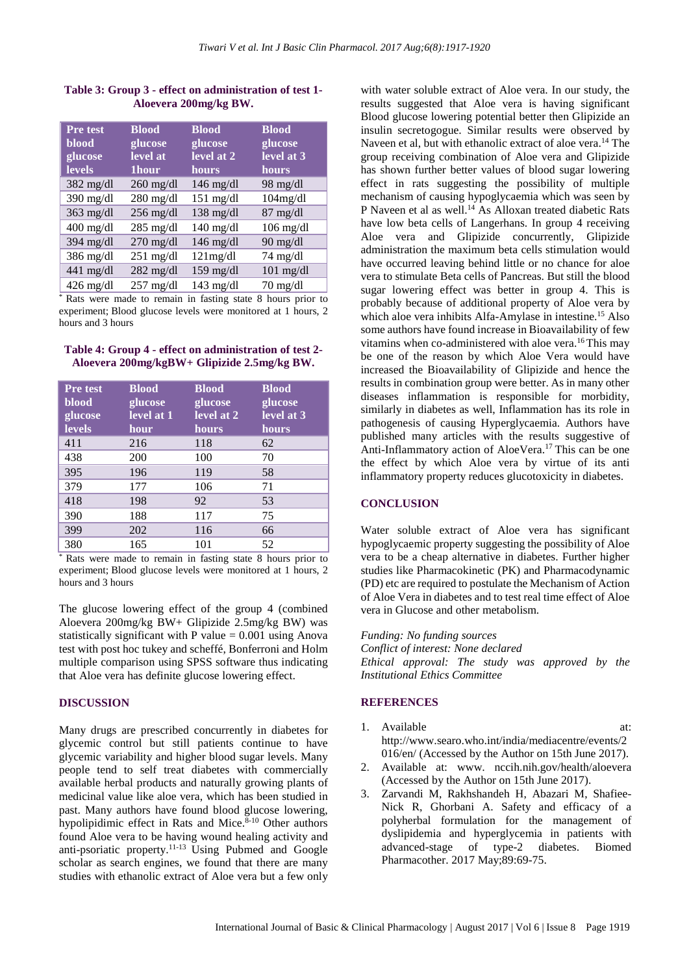#### **Table 3: Group 3 - effect on administration of test 1- Aloevera 200mg/kg BW.**

| <b>Pre test</b><br><b>blood</b><br>glucose<br><b>levels</b> | <b>Blood</b><br>glucose<br>level at<br>1hour | <b>Blood</b><br>glucose<br>level at 2<br>hours | <b>Blood</b><br>glucose<br>level at 3<br>hours |
|-------------------------------------------------------------|----------------------------------------------|------------------------------------------------|------------------------------------------------|
| $382$ mg/dl                                                 | $260$ mg/dl                                  | $146 \text{ mg/dl}$                            | $98 \text{ mg/dl}$                             |
| 390 mg/dl                                                   | $280$ mg/dl                                  | $151$ mg/dl                                    | 104mg/dl                                       |
| $363$ mg/dl                                                 | $256$ mg/dl                                  | $138 \text{ mg/dl}$                            | $87$ mg/dl                                     |
| $400$ mg/dl                                                 | $285$ mg/dl                                  | $140$ mg/dl                                    | $106$ mg/dl                                    |
| 394 mg/dl                                                   | $270$ mg/dl                                  | $146$ mg/dl                                    | $90 \text{ mg/dl}$                             |
| 386 mg/dl                                                   | $251$ mg/dl                                  | 121mg/dl                                       | $74 \text{ mg/dl}$                             |
| $441$ mg/dl                                                 | $282$ mg/dl                                  | $159$ mg/dl                                    | $101$ mg/dl                                    |
| $426$ mg/dl                                                 | $257$ mg/dl                                  | $143$ mg/dl                                    | $70 \text{ mg/dl}$                             |

\* Rats were made to remain in fasting state 8 hours prior to experiment; Blood glucose levels were monitored at 1 hours, 2 hours and 3 hours

#### **Table 4: Group 4 - effect on administration of test 2- Aloevera 200mg/kgBW+ Glipizide 2.5mg/kg BW.**

| <b>Pre</b> test<br>blood<br>glucose | <b>Blood</b><br>glucose<br>level at 1 | <b>Blood</b><br>glucose<br>level at 2 | <b>Blood</b><br>glucose<br>level at 3 |
|-------------------------------------|---------------------------------------|---------------------------------------|---------------------------------------|
| levels                              | hour                                  | hours                                 | hours                                 |
| 411                                 | 216                                   | 118                                   | 62                                    |
| 438                                 | 200                                   | 100                                   | 70                                    |
| 395                                 | 196                                   | 119                                   | 58                                    |
| 379                                 | 177                                   | 106                                   | 71                                    |
| 418                                 | 198                                   | 92                                    | 53                                    |
| 390                                 | 188                                   | 117                                   | 75                                    |
| 399                                 | 202                                   | 116                                   | 66                                    |
| 380                                 | 165                                   | 101                                   | 52                                    |

Rats were made to remain in fasting state 8 hours prior to experiment; Blood glucose levels were monitored at 1 hours, 2 hours and 3 hours

The glucose lowering effect of the group 4 (combined Aloevera 200mg/kg BW+ Glipizide 2.5mg/kg BW) was statistically significant with P value  $= 0.001$  using Anova test with post hoc tukey and scheffé, Bonferroni and Holm multiple comparison using SPSS software thus indicating that Aloe vera has definite glucose lowering effect.

#### **DISCUSSION**

Many drugs are prescribed concurrently in diabetes for glycemic control but still patients continue to have glycemic variability and higher blood sugar levels. Many people tend to self treat diabetes with commercially available herbal products and naturally growing plants of medicinal value like aloe vera, which has been studied in past. Many authors have found blood glucose lowering, hypolipidimic effect in Rats and Mice.<sup>8-10</sup> Other authors found Aloe vera to be having wound healing activity and anti-psoriatic property. 11-13 Using Pubmed and Google scholar as search engines, we found that there are many studies with ethanolic extract of Aloe vera but a few only

with water soluble extract of Aloe vera. In our study, the results suggested that Aloe vera is having significant Blood glucose lowering potential better then Glipizide an insulin secretogogue. Similar results were observed by Naveen et al, but with ethanolic extract of aloe vera.<sup>14</sup> The group receiving combination of Aloe vera and Glipizide has shown further better values of blood sugar lowering effect in rats suggesting the possibility of multiple mechanism of causing hypoglycaemia which was seen by P Naveen et al as well.<sup>14</sup> As Alloxan treated diabetic Rats have low beta cells of Langerhans. In group 4 receiving Aloe vera and Glipizide concurrently, Glipizide administration the maximum beta cells stimulation would have occurred leaving behind little or no chance for aloe vera to stimulate Beta cells of Pancreas. But still the blood sugar lowering effect was better in group 4. This is probably because of additional property of Aloe vera by which aloe vera inhibits Alfa-Amylase in intestine. <sup>15</sup> Also some authors have found increase in Bioavailability of few vitamins when co-administered with aloe vera. <sup>16</sup> This may be one of the reason by which Aloe Vera would have increased the Bioavailability of Glipizide and hence the results in combination group were better. As in many other diseases inflammation is responsible for morbidity, similarly in diabetes as well, Inflammation has its role in pathogenesis of causing Hyperglycaemia. Authors have published many articles with the results suggestive of Anti-Inflammatory action of AloeVera. <sup>17</sup> This can be one the effect by which Aloe vera by virtue of its anti inflammatory property reduces glucotoxicity in diabetes.

#### **CONCLUSION**

Water soluble extract of Aloe vera has significant hypoglycaemic property suggesting the possibility of Aloe vera to be a cheap alternative in diabetes. Further higher studies like Pharmacokinetic (PK) and Pharmacodynamic (PD) etc are required to postulate the Mechanism of Action of Aloe Vera in diabetes and to test real time effect of Aloe vera in Glucose and other metabolism.

*Funding: No funding sources Conflict of interest: None declared Ethical approval: The study was approved by the Institutional Ethics Committee*

#### **REFERENCES**

- 1. Available at: http://www.searo.who.int/india/mediacentre/events/2 016/en/ (Accessed by the Author on 15th June 2017).
- 2. Available at: www. nccih.nih.gov/health/aloevera (Accessed by the Author on 15th June 2017).
- 3. Zarvandi M, Rakhshandeh H, Abazari M, Shafiee-Nick R, Ghorbani A. Safety and efficacy of a polyherbal formulation for the management of dyslipidemia and hyperglycemia in patients with advanced-stage of type-2 diabetes. Biomed Pharmacother. 2017 May;89:69-75.